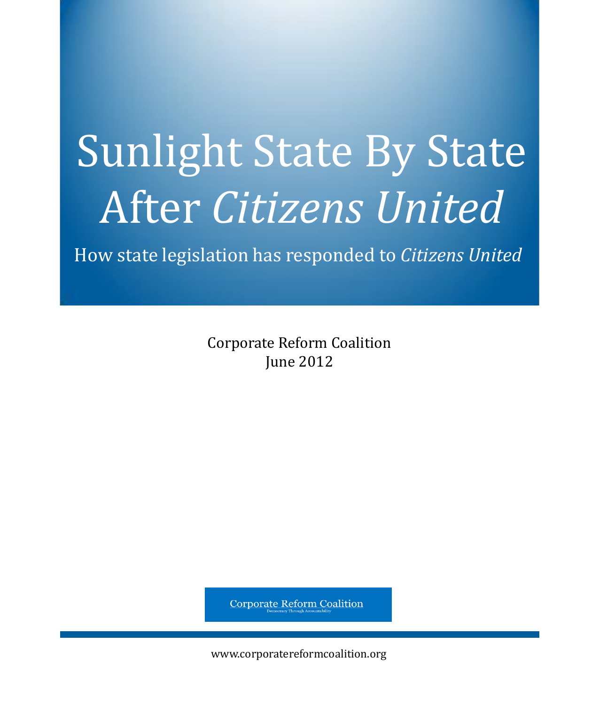# Sunlight State By State After *Citizens United*

How state legislation has responded to *Citizens United*

Corporate Reform Coalition June 2012

**Corporate Reform Coalition** 

www.corporatereformcoalition.org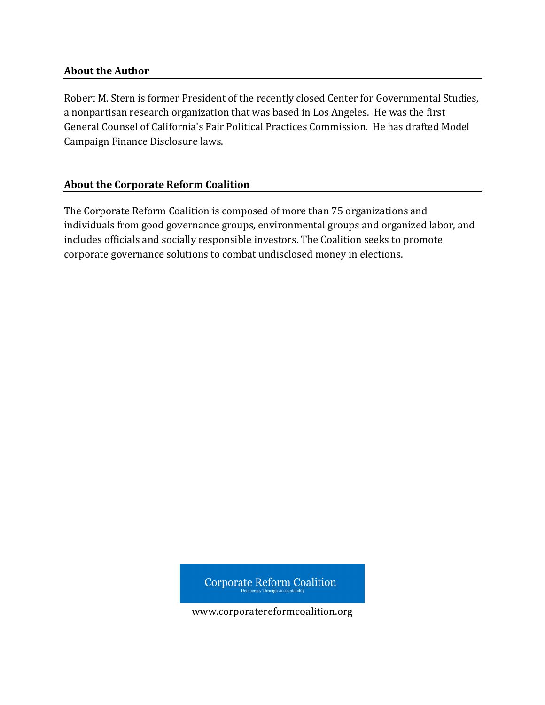#### **About the Author**

Robert M. Stern is former President of the recently closed Center for Governmental Studies, a nonpartisan research organization that was based in Los Angeles. He was the first General Counsel of California's Fair Political Practices Commission. He has drafted Model Campaign Finance Disclosure laws.

#### **About the Corporate Reform Coalition**

The Corporate Reform Coalition is composed of more than 75 organizations and individuals from good governance groups, environmental groups and organized labor, and includes officials and socially responsible investors. The Coalition seeks to promote corporate governance solutions to combat undisclosed money in elections.

**Corporate Reform Coalition** 

www.corporatereformcoalition.org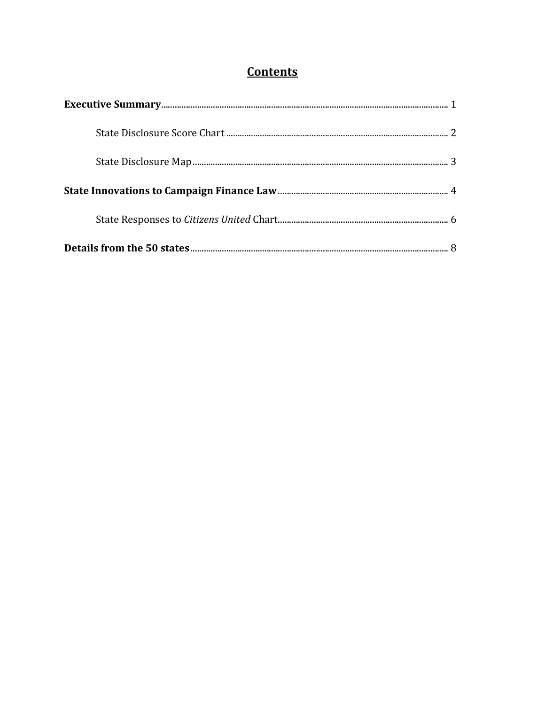## **Contents**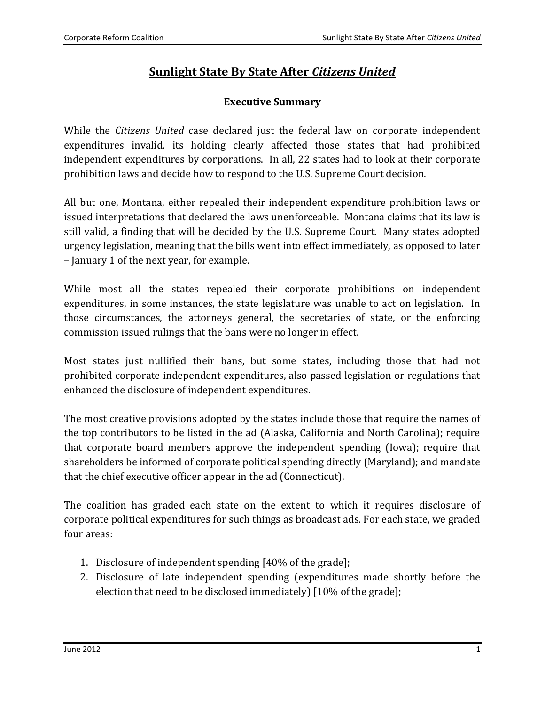## **Sunlight State By State After** *Citizens United*

#### **Executive Summary**

While the *Citizens United* case declared just the federal law on corporate independent expenditures invalid, its holding clearly affected those states that had prohibited independent expenditures by corporations. In all, 22 states had to look at their corporate prohibition laws and decide how to respond to the U.S. Supreme Court decision.

All but one, Montana, either repealed their independent expenditure prohibition laws or issued interpretations that declared the laws unenforceable. Montana claims that its law is still valid, a finding that will be decided by the U.S. Supreme Court. Many states adopted urgency legislation, meaning that the bills went into effect immediately, as opposed to later – January 1 of the next year, for example.

While most all the states repealed their corporate prohibitions on independent expenditures, in some instances, the state legislature was unable to act on legislation. In those circumstances, the attorneys general, the secretaries of state, or the enforcing commission issued rulings that the bans were no longer in effect.

Most states just nullified their bans, but some states, including those that had not prohibited corporate independent expenditures, also passed legislation or regulations that enhanced the disclosure of independent expenditures.

The most creative provisions adopted by the states include those that require the names of the top contributors to be listed in the ad (Alaska, California and North Carolina); require that corporate board members approve the independent spending (Iowa); require that shareholders be informed of corporate political spending directly (Maryland); and mandate that the chief executive officer appear in the ad (Connecticut).

The coalition has graded each state on the extent to which it requires disclosure of corporate political expenditures for such things as broadcast ads. For each state, we graded four areas:

- 1. Disclosure of independent spending [40% of the grade];
- 2. Disclosure of late independent spending (expenditures made shortly before the election that need to be disclosed immediately) [10% of the grade];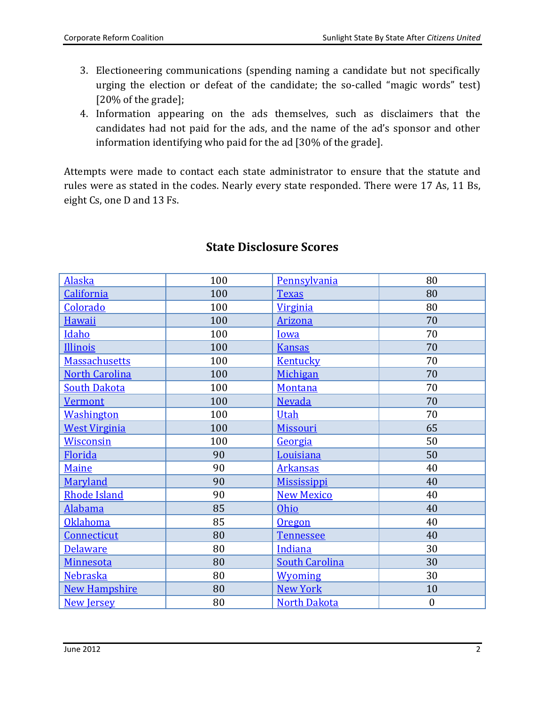- 3. Electioneering communications (spending naming a candidate but not specifically urging the election or defeat of the candidate; the so-called "magic words" test) [20% of the grade];
- 4. Information appearing on the ads themselves, such as disclaimers that the candidates had not paid for the ads, and the name of the ad's sponsor and other information identifying who paid for the ad [30% of the grade].

Attempts were made to contact each state administrator to ensure that the statute and rules were as stated in the codes. Nearly every state responded. There were 17 As, 11 Bs, eight Cs, one D and 13 Fs.

| <b>Alaska</b>         | 100 | Pennsylvania          | 80               |
|-----------------------|-----|-----------------------|------------------|
| California            | 100 | <b>Texas</b>          | 80               |
| Colorado              | 100 | <b>Virginia</b>       | 80               |
| Hawaii                | 100 | <b>Arizona</b>        | 70               |
| <b>Idaho</b>          | 100 | Iowa                  | 70               |
| Illinois              | 100 | <b>Kansas</b>         | 70               |
| <b>Massachusetts</b>  | 100 | <b>Kentucky</b>       | 70               |
| <b>North Carolina</b> | 100 | Michigan              | 70               |
| <b>South Dakota</b>   | 100 | Montana               | 70               |
| <b>Vermont</b>        | 100 | <b>Nevada</b>         | 70               |
| <b>Washington</b>     | 100 | Utah                  | 70               |
| <b>West Virginia</b>  | 100 | <b>Missouri</b>       | 65               |
| <b>Wisconsin</b>      | 100 | Georgia               | 50               |
| Florida               | 90  | Louisiana             | 50               |
| Maine                 | 90  | <b>Arkansas</b>       | 40               |
| Maryland              | 90  | <b>Mississippi</b>    | 40               |
| <b>Rhode Island</b>   | 90  | <b>New Mexico</b>     | 40               |
| <b>Alabama</b>        | 85  | Ohio                  | 40               |
| <b>Oklahoma</b>       | 85  | Oregon                | 40               |
| Connecticut           | 80  | <b>Tennessee</b>      | 40               |
| <b>Delaware</b>       | 80  | Indiana               | 30               |
| Minnesota             | 80  | <b>South Carolina</b> | 30               |
| <b>Nebraska</b>       | 80  | <b>Wyoming</b>        | 30               |
| <b>New Hampshire</b>  | 80  | <b>New York</b>       | 10               |
| <b>New Jersey</b>     | 80  | <b>North Dakota</b>   | $\boldsymbol{0}$ |

### **State Disclosure Scores**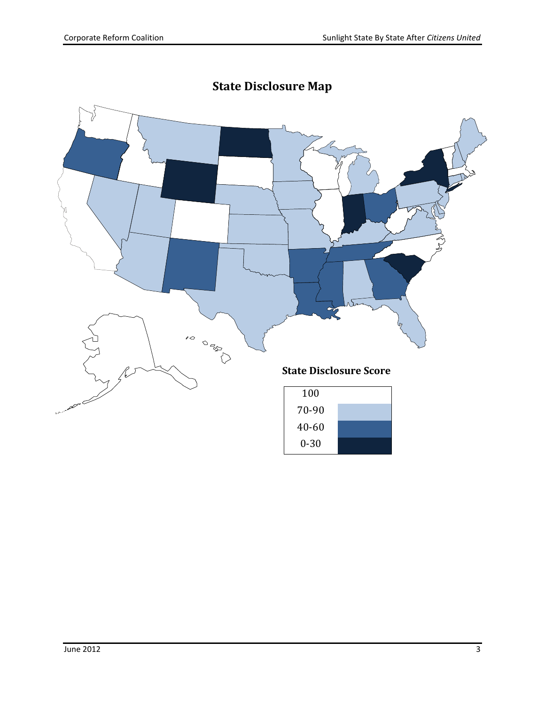

# **State Disclosure Map**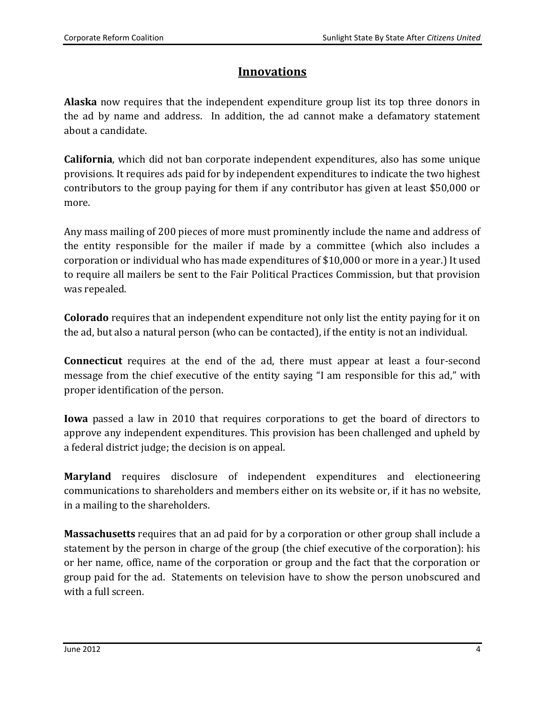## **Innovations**

**Alaska** now requires that the independent expenditure group list its top three donors in the ad by name and address. In addition, the ad cannot make a defamatory statement about a candidate.

**California**, which did not ban corporate independent expenditures, also has some unique provisions. It requires ads paid for by independent expenditures to indicate the two highest contributors to the group paying for them if any contributor has given at least \$50,000 or more.

Any mass mailing of 200 pieces of more must prominently include the name and address of the entity responsible for the mailer if made by a committee (which also includes a corporation or individual who has made expenditures of \$10,000 or more in a year.) It used to require all mailers be sent to the Fair Political Practices Commission, but that provision was repealed.

**Colorado** requires that an independent expenditure not only list the entity paying for it on the ad, but also a natural person (who can be contacted), if the entity is not an individual.

**Connecticut** requires at the end of the ad, there must appear at least a four-second message from the chief executive of the entity saying "I am responsible for this ad," with proper identification of the person.

**Iowa** passed a law in 2010 that requires corporations to get the board of directors to approve any independent expenditures. This provision has been challenged and upheld by a federal district judge; the decision is on appeal.

**Maryland** requires disclosure of independent expenditures and electioneering communications to shareholders and members either on its website or, if it has no website, in a mailing to the shareholders.

**Massachusetts** requires that an ad paid for by a corporation or other group shall include a statement by the person in charge of the group (the chief executive of the corporation): his or her name, office, name of the corporation or group and the fact that the corporation or group paid for the ad. Statements on television have to show the person unobscured and with a full screen.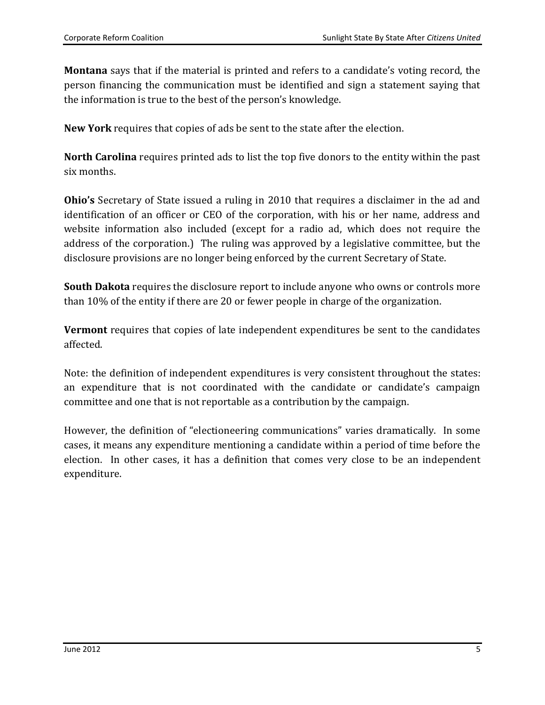**Montana** says that if the material is printed and refers to a candidate's voting record, the person financing the communication must be identified and sign a statement saying that the information is true to the best of the person's knowledge.

**New York** requires that copies of ads be sent to the state after the election.

**North Carolina** requires printed ads to list the top five donors to the entity within the past six months.

**Ohio's** Secretary of State issued a ruling in 2010 that requires a disclaimer in the ad and identification of an officer or CEO of the corporation, with his or her name, address and website information also included (except for a radio ad, which does not require the address of the corporation.) The ruling was approved by a legislative committee, but the disclosure provisions are no longer being enforced by the current Secretary of State.

**South Dakota** requires the disclosure report to include anyone who owns or controls more than 10% of the entity if there are 20 or fewer people in charge of the organization.

**Vermont** requires that copies of late independent expenditures be sent to the candidates affected.

Note: the definition of independent expenditures is very consistent throughout the states: an expenditure that is not coordinated with the candidate or candidate's campaign committee and one that is not reportable as a contribution by the campaign.

However, the definition of "electioneering communications" varies dramatically. In some cases, it means any expenditure mentioning a candidate within a period of time before the election. In other cases, it has a definition that comes very close to be an independent expenditure.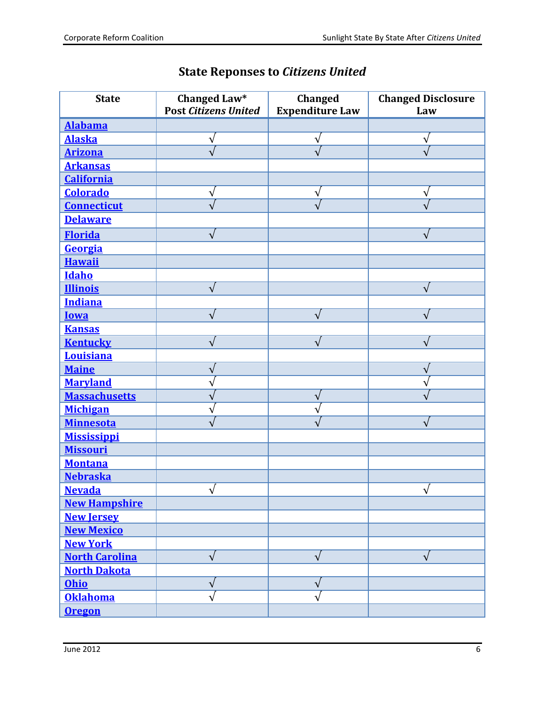| <b>State</b>          | Changed Law*<br><b>Post Citizens United</b> | <b>Changed</b><br><b>Expenditure Law</b> | <b>Changed Disclosure</b><br>Law |
|-----------------------|---------------------------------------------|------------------------------------------|----------------------------------|
| <b>Alabama</b>        |                                             |                                          |                                  |
| <b>Alaska</b>         | $\sqrt{}$                                   | ٧                                        | ٧                                |
| <b>Arizona</b>        | $\sqrt{}$                                   |                                          | $\sqrt{}$                        |
| <b>Arkansas</b>       |                                             |                                          |                                  |
| <b>California</b>     |                                             |                                          |                                  |
| <b>Colorado</b>       | $\sqrt{}$                                   | $\sqrt{}$                                | ٧                                |
| <b>Connecticut</b>    | $\sqrt{}$                                   | $\sqrt{}$                                | $\sqrt{2}$                       |
| <b>Delaware</b>       |                                             |                                          |                                  |
| <b>Florida</b>        | $\sqrt{}$                                   |                                          | $\sqrt{}$                        |
| Georgia               |                                             |                                          |                                  |
| <b>Hawaii</b>         |                                             |                                          |                                  |
| <b>Idaho</b>          |                                             |                                          |                                  |
| <b>Illinois</b>       | $\sqrt{}$                                   |                                          | $\sqrt{}$                        |
| <b>Indiana</b>        |                                             |                                          |                                  |
| <b>Iowa</b>           | $\sqrt{}$                                   | $\sqrt{ }$                               | $\sqrt{}$                        |
| <b>Kansas</b>         |                                             |                                          |                                  |
| <b>Kentucky</b>       | $\sqrt{ }$                                  |                                          |                                  |
| <b>Louisiana</b>      |                                             |                                          |                                  |
| <b>Maine</b>          | $\sqrt{}$                                   |                                          | $\sqrt{}$                        |
| <b>Maryland</b>       | $\sqrt{2}$                                  |                                          | J                                |
| <b>Massachusetts</b>  | V                                           | $\sqrt{}$                                |                                  |
| <b>Michigan</b>       | V                                           |                                          |                                  |
| <b>Minnesota</b>      |                                             |                                          | $\sqrt{ }$                       |
| <b>Mississippi</b>    |                                             |                                          |                                  |
| <b>Missouri</b>       |                                             |                                          |                                  |
| <b>Montana</b>        |                                             |                                          |                                  |
| <b>Nebraska</b>       |                                             |                                          |                                  |
| <b>Nevada</b>         | $\overline{\sqrt{} }$                       |                                          | $\sqrt{}$                        |
| <b>New Hampshire</b>  |                                             |                                          |                                  |
| <b>New Jersey</b>     |                                             |                                          |                                  |
| <b>New Mexico</b>     |                                             |                                          |                                  |
| <b>New York</b>       |                                             |                                          |                                  |
| <b>North Carolina</b> | $\sqrt{ }$                                  | $\sqrt{ }$                               | $\sqrt{}$                        |
| <b>North Dakota</b>   |                                             |                                          |                                  |
| Ohio                  | $\sqrt{}$                                   | $\sqrt{ }$                               |                                  |
| <b>Oklahoma</b>       | $\sqrt{2}$                                  |                                          |                                  |
| <b>Oregon</b>         |                                             |                                          |                                  |

# **State Reponses to** *Citizens United*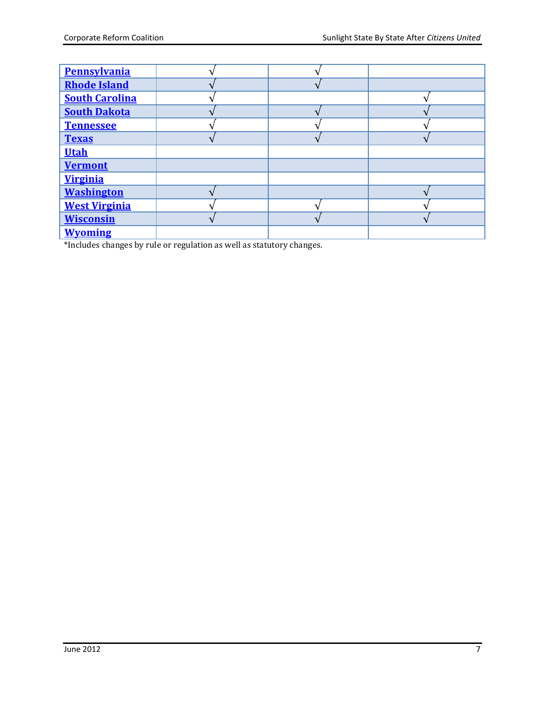| <b>Pennsylvania</b>   |  |  |
|-----------------------|--|--|
| <b>Rhode Island</b>   |  |  |
| <b>South Carolina</b> |  |  |
| <b>South Dakota</b>   |  |  |
| <b>Tennessee</b>      |  |  |
| <b>Texas</b>          |  |  |
| <b>Utah</b>           |  |  |
| <b>Vermont</b>        |  |  |
| <b>Virginia</b>       |  |  |
| <b>Washington</b>     |  |  |
| <b>West Virginia</b>  |  |  |
| <b>Wisconsin</b>      |  |  |
| <b>Wyoming</b>        |  |  |

\*Includes changes by rule or regulation as well as statutory changes.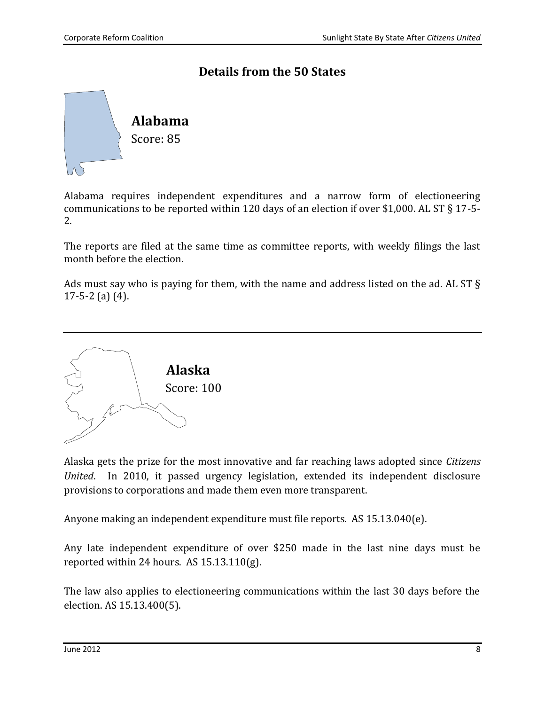## **Details from the 50 States**

<span id="page-10-1"></span>

Alabama requires independent expenditures and a narrow form of electioneering communications to be reported within 120 days of an election if over \$1,000. AL ST § 17-5- 2.

The reports are filed at the same time as committee reports, with weekly filings the last month before the election.

Ads must say who is paying for them, with the name and address listed on the ad. AL ST § 17-5-2 (a) (4).

<span id="page-10-0"></span>

Alaska gets the prize for the most innovative and far reaching laws adopted since *Citizens United*. In 2010, it passed urgency legislation, extended its independent disclosure provisions to corporations and made them even more transparent.

Anyone making an independent expenditure must file reports. AS 15.13.040(e).

Any late independent expenditure of over \$250 made in the last nine days must be reported within 24 hours. AS 15.13.110(g).

The law also applies to electioneering communications within the last 30 days before the election. AS 15.13.400(5).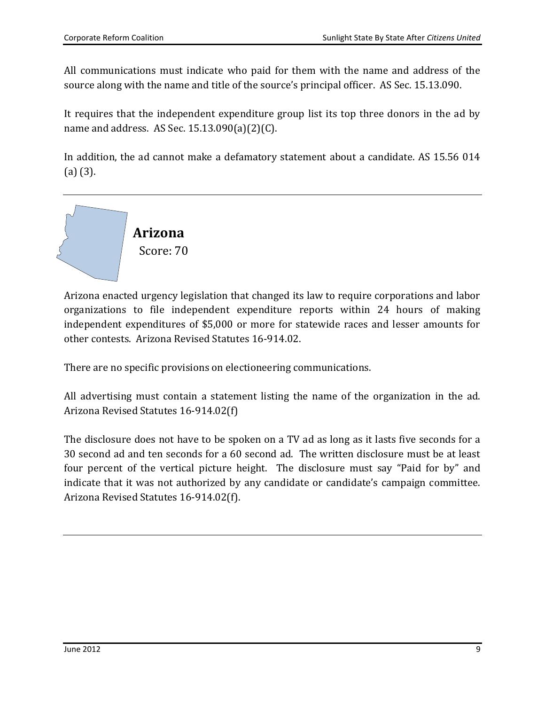All communications must indicate who paid for them with the name and address of the source along with the name and title of the source's principal officer. AS Sec. 15.13.090.

It requires that the independent expenditure group list its top three donors in the ad by name and address. AS Sec. 15.13.090(a)(2)(C).

In addition, the ad cannot make a defamatory statement about a candidate. AS 15.56 014 (a) (3).

<span id="page-11-0"></span>

Arizona enacted urgency legislation that changed its law to require corporations and labor organizations to file independent expenditure reports within 24 hours of making independent expenditures of \$5,000 or more for statewide races and lesser amounts for other contests. Arizona Revised Statutes 16-914.02.

There are no specific provisions on electioneering communications.

All advertising must contain a statement listing the name of the organization in the ad. Arizona Revised Statutes 16-914.02(f)

The disclosure does not have to be spoken on a TV ad as long as it lasts five seconds for a 30 second ad and ten seconds for a 60 second ad. The written disclosure must be at least four percent of the vertical picture height. The disclosure must say "Paid for by" and indicate that it was not authorized by any candidate or candidate's campaign committee. Arizona Revised Statutes 16-914.02(f).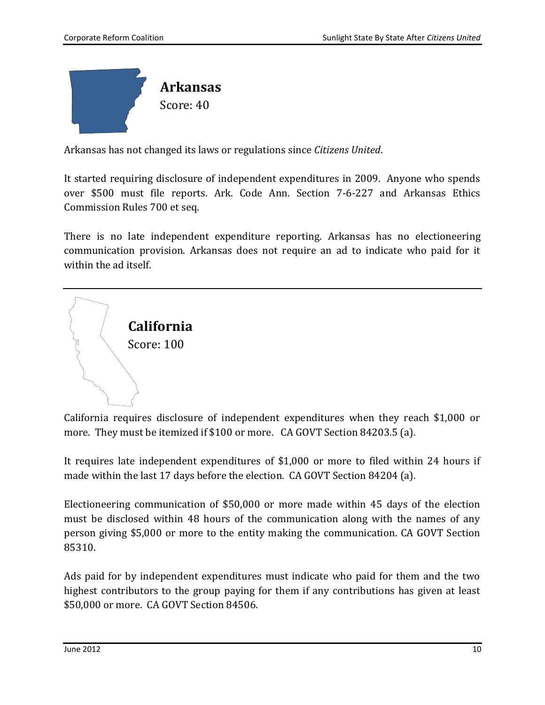<span id="page-12-1"></span>

Arkansas has not changed its laws or regulations since *Citizens United*.

It started requiring disclosure of independent expenditures in 2009. Anyone who spends over \$500 must file reports. Ark. Code Ann. Section 7-6-227 and Arkansas Ethics Commission Rules 700 et seq.

There is no late independent expenditure reporting. Arkansas has no electioneering communication provision. Arkansas does not require an ad to indicate who paid for it within the ad itself.

<span id="page-12-0"></span>

California requires disclosure of independent expenditures when they reach \$1,000 or more. They must be itemized if \$100 or more. CA GOVT Section 84203.5 (a).

It requires late independent expenditures of \$1,000 or more to filed within 24 hours if made within the last 17 days before the election. CA GOVT Section 84204 (a).

Electioneering communication of \$50,000 or more made within 45 days of the election must be disclosed within 48 hours of the communication along with the names of any person giving \$5,000 or more to the entity making the communication. CA GOVT Section 85310.

Ads paid for by independent expenditures must indicate who paid for them and the two highest contributors to the group paying for them if any contributions has given at least \$50,000 or more. CA GOVT Section 84506.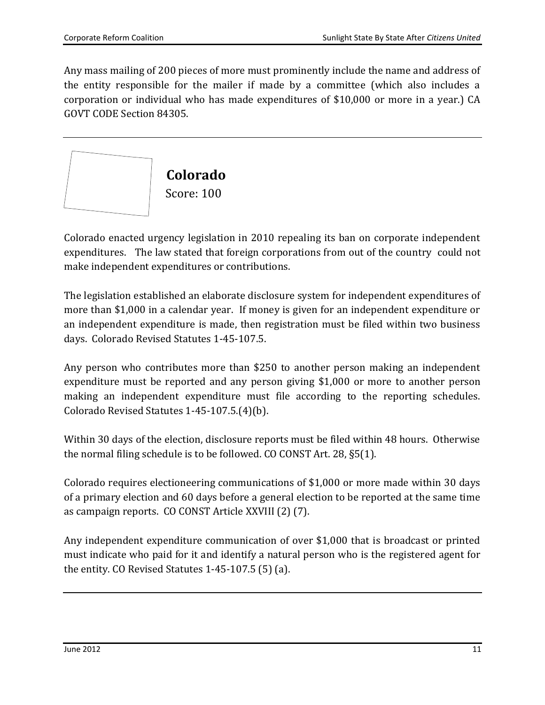Any mass mailing of 200 pieces of more must prominently include the name and address of the entity responsible for the mailer if made by a committee (which also includes a corporation or individual who has made expenditures of \$10,000 or more in a year.) CA GOVT CODE Section 84305.

<span id="page-13-0"></span>

Colorado enacted urgency legislation in 2010 repealing its ban on corporate independent expenditures. The law stated that foreign corporations from out of the country could not make independent expenditures or contributions.

The legislation established an elaborate disclosure system for independent expenditures of more than \$1,000 in a calendar year. If money is given for an independent expenditure or an independent expenditure is made, then registration must be filed within two business days. Colorado Revised Statutes 1-45-107.5.

Any person who contributes more than \$250 to another person making an independent expenditure must be reported and any person giving \$1,000 or more to another person making an independent expenditure must file according to the reporting schedules. Colorado Revised Statutes 1-45-107.5.(4)(b).

Within 30 days of the election, disclosure reports must be filed within 48 hours. Otherwise the normal filing schedule is to be followed. CO CONST Art. 28, §5(1).

Colorado requires electioneering communications of \$1,000 or more made within 30 days of a primary election and 60 days before a general election to be reported at the same time as campaign reports. CO CONST Article XXVIII (2) (7).

Any independent expenditure communication of over \$1,000 that is broadcast or printed must indicate who paid for it and identify a natural person who is the registered agent for the entity. CO Revised Statutes 1-45-107.5 (5) (a).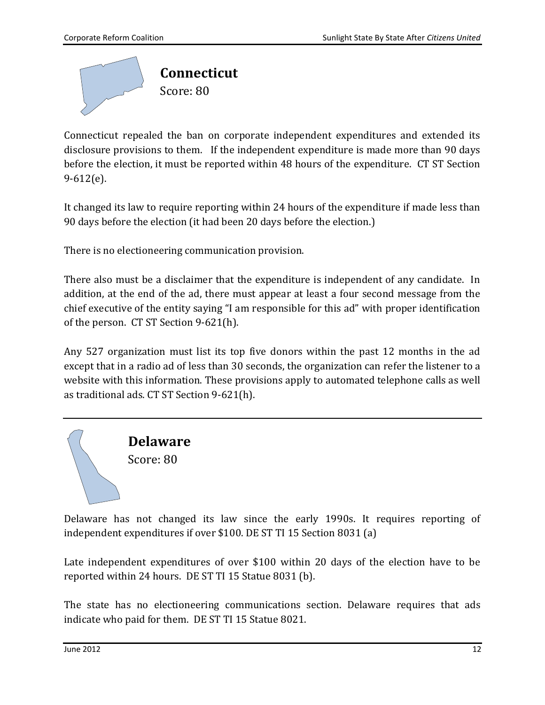<span id="page-14-0"></span>

Connecticut repealed the ban on corporate independent expenditures and extended its disclosure provisions to them. If the independent expenditure is made more than 90 days before the election, it must be reported within 48 hours of the expenditure. CT ST Section 9-612(e).

It changed its law to require reporting within 24 hours of the expenditure if made less than 90 days before the election (it had been 20 days before the election.)

There is no electioneering communication provision.

There also must be a disclaimer that the expenditure is independent of any candidate. In addition, at the end of the ad, there must appear at least a four second message from the chief executive of the entity saying "I am responsible for this ad" with proper identification of the person. CT ST Section 9-621(h).

Any 527 organization must list its top five donors within the past 12 months in the ad except that in a radio ad of less than 30 seconds, the organization can refer the listener to a website with this information. These provisions apply to automated telephone calls as well as traditional ads. CT ST Section 9-621(h).

> <span id="page-14-1"></span>**Delaware** Score: 80

Delaware has not changed its law since the early 1990s. It requires reporting of independent expenditures if over \$100. DE ST TI 15 Section 8031 (a)

Late independent expenditures of over \$100 within 20 days of the election have to be reported within 24 hours. DE ST TI 15 Statue 8031 (b).

The state has no electioneering communications section. Delaware requires that ads indicate who paid for them. DE ST TI 15 Statue 8021.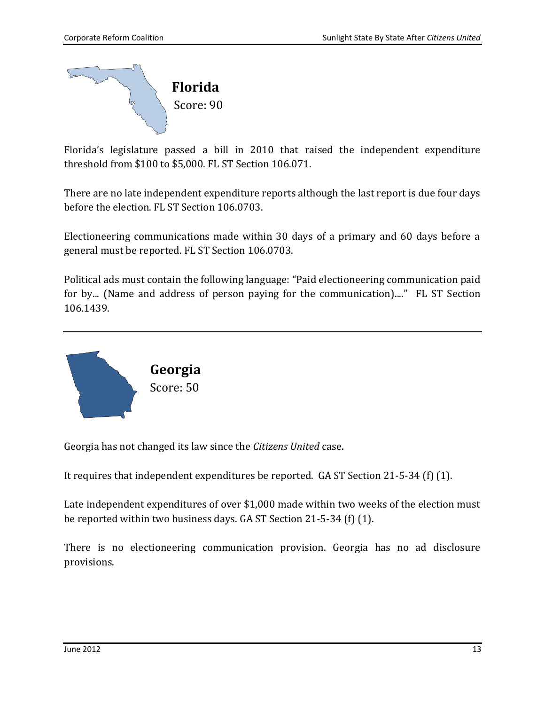<span id="page-15-1"></span>

Florida's legislature passed a bill in 2010 that raised the independent expenditure threshold from \$100 to \$5,000. FL ST Section 106.071.

There are no late independent expenditure reports although the last report is due four days before the election. FL ST Section 106.0703.

Electioneering communications made within 30 days of a primary and 60 days before a general must be reported. FL ST Section 106.0703.

Political ads must contain the following language: "Paid electioneering communication paid for by... (Name and address of person paying for the communication)...." FL ST Section 106.1439.

<span id="page-15-0"></span>

Georgia has not changed its law since the *Citizens United* case.

It requires that independent expenditures be reported. GA ST Section 21-5-34 (f) (1).

Late independent expenditures of over \$1,000 made within two weeks of the election must be reported within two business days. GA ST Section 21-5-34 (f) (1).

There is no electioneering communication provision. Georgia has no ad disclosure provisions.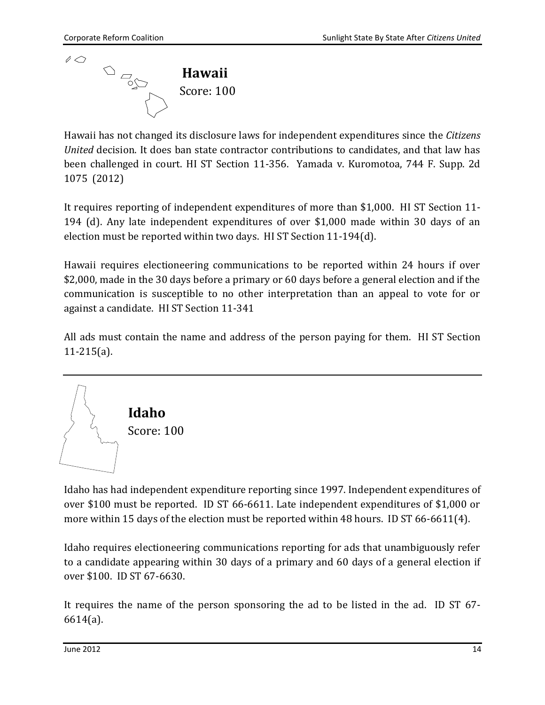<span id="page-16-0"></span>

Hawaii has not changed its disclosure laws for independent expenditures since the *Citizens United* decision. It does ban state contractor contributions to candidates, and that law has been challenged in court. HI ST Section 11-356. Yamada v. Kuromotoa, 744 F. Supp. 2d 1075 (2012)

It requires reporting of independent expenditures of more than \$1,000. HI ST Section 11- 194 (d). Any late independent expenditures of over \$1,000 made within 30 days of an election must be reported within two days. HI ST Section 11-194(d).

Hawaii requires electioneering communications to be reported within 24 hours if over \$2,000, made in the 30 days before a primary or 60 days before a general election and if the communication is susceptible to no other interpretation than an appeal to vote for or against a candidate. HI ST Section 11-341

All ads must contain the name and address of the person paying for them. HI ST Section 11-215(a).

<span id="page-16-1"></span>

Idaho has had independent expenditure reporting since 1997. Independent expenditures of over \$100 must be reported. ID ST 66-6611. Late independent expenditures of \$1,000 or more within 15 days of the election must be reported within 48 hours. ID ST 66-6611(4).

Idaho requires electioneering communications reporting for ads that unambiguously refer to a candidate appearing within 30 days of a primary and 60 days of a general election if over \$100. ID ST 67-6630.

It requires the name of the person sponsoring the ad to be listed in the ad. ID ST 67- 6614(a).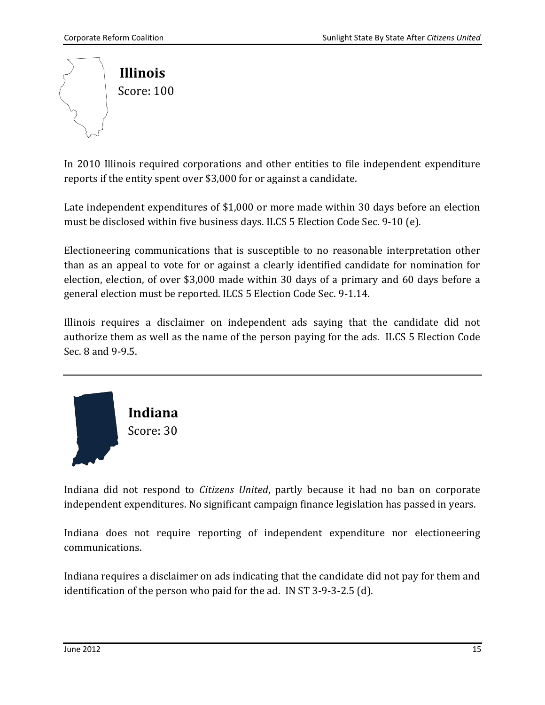<span id="page-17-0"></span>

In 2010 Illinois required corporations and other entities to file independent expenditure reports if the entity spent over \$3,000 for or against a candidate.

Late independent expenditures of \$1,000 or more made within 30 days before an election must be disclosed within five business days. ILCS 5 Election Code Sec. 9-10 (e).

Electioneering communications that is susceptible to no reasonable interpretation other than as an appeal to vote for or against a clearly identified candidate for nomination for election, election, of over \$3,000 made within 30 days of a primary and 60 days before a general election must be reported. ILCS 5 Election Code Sec. 9-1.14.

Illinois requires a disclaimer on independent ads saying that the candidate did not authorize them as well as the name of the person paying for the ads. ILCS 5 Election Code Sec. 8 and 9-9.5.

<span id="page-17-1"></span>

Indiana did not respond to *Citizens United*, partly because it had no ban on corporate independent expenditures. No significant campaign finance legislation has passed in years.

Indiana does not require reporting of independent expenditure nor electioneering communications.

Indiana requires a disclaimer on ads indicating that the candidate did not pay for them and identification of the person who paid for the ad. IN ST 3-9-3-2.5 (d).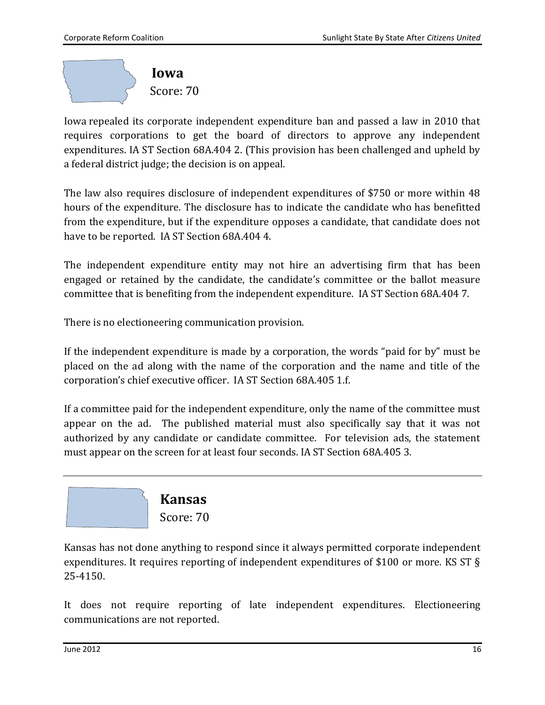<span id="page-18-0"></span>

Iowa repealed its corporate independent expenditure ban and passed a law in 2010 that requires corporations to get the board of directors to approve any independent expenditures. IA ST Section 68A.404 2. (This provision has been challenged and upheld by a federal district judge; the decision is on appeal.

The law also requires disclosure of independent expenditures of \$750 or more within 48 hours of the expenditure. The disclosure has to indicate the candidate who has benefitted from the expenditure, but if the expenditure opposes a candidate, that candidate does not have to be reported. IA ST Section 68A.404 4.

The independent expenditure entity may not hire an advertising firm that has been engaged or retained by the candidate, the candidate's committee or the ballot measure committee that is benefiting from the independent expenditure. IA ST Section 68A.404 7.

There is no electioneering communication provision.

If the independent expenditure is made by a corporation, the words "paid for by" must be placed on the ad along with the name of the corporation and the name and title of the corporation's chief executive officer. IA ST Section 68A.405 1.f.

If a committee paid for the independent expenditure, only the name of the committee must appear on the ad. The published material must also specifically say that it was not authorized by any candidate or candidate committee. For television ads, the statement must appear on the screen for at least four seconds. IA ST Section 68A.405 3.

<span id="page-18-1"></span>

Kansas has not done anything to respond since it always permitted corporate independent expenditures. It requires reporting of independent expenditures of \$100 or more. KS ST § 25-4150.

It does not require reporting of late independent expenditures. Electioneering communications are not reported.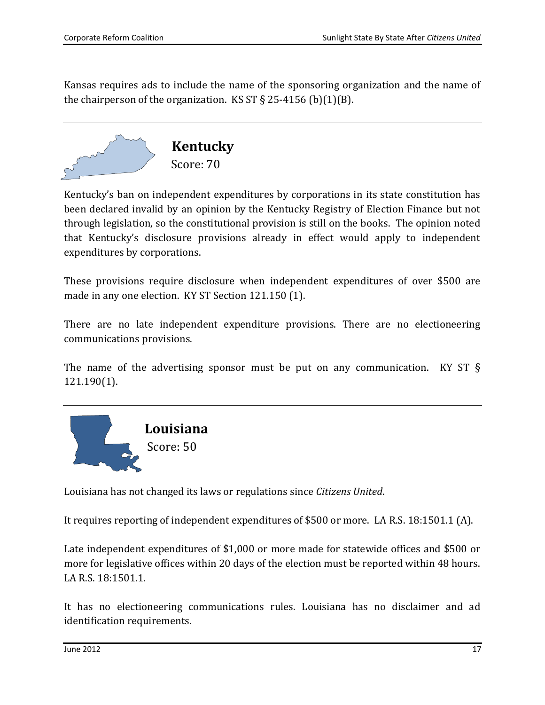Kansas requires ads to include the name of the sponsoring organization and the name of the chairperson of the organization. KS ST  $\S$  25-4156 (b)(1)(B).



<span id="page-19-0"></span>Kentucky's ban on independent expenditures by corporations in its state constitution has been declared invalid by an opinion by the Kentucky Registry of Election Finance but not through legislation, so the constitutional provision is still on the books. The opinion noted that Kentucky's disclosure provisions already in effect would apply to independent expenditures by corporations.

These provisions require disclosure when independent expenditures of over \$500 are made in any one election. KY ST Section 121.150 (1).

There are no late independent expenditure provisions. There are no electioneering communications provisions.

The name of the advertising sponsor must be put on any communication. KY ST § 121.190(1).

<span id="page-19-1"></span>

Louisiana has not changed its laws or regulations since *Citizens United*.

It requires reporting of independent expenditures of \$500 or more. LA R.S. 18:1501.1 (A).

Late independent expenditures of \$1,000 or more made for statewide offices and \$500 or more for legislative offices within 20 days of the election must be reported within 48 hours. LA R.S. 18:1501.1.

It has no electioneering communications rules. Louisiana has no disclaimer and ad identification requirements.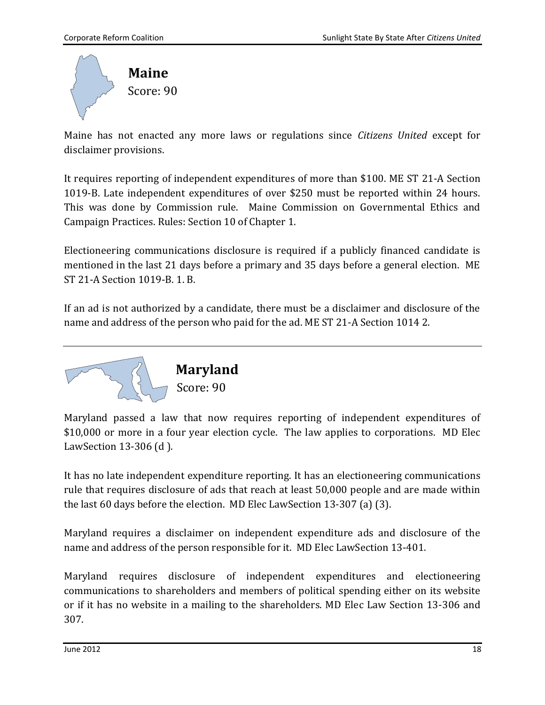<span id="page-20-0"></span>

Maine has not enacted any more laws or regulations since *Citizens United* except for disclaimer provisions.

It requires reporting of independent expenditures of more than \$100. ME ST 21-A Section 1019-B. Late independent expenditures of over \$250 must be reported within 24 hours. This was done by Commission rule. Maine Commission on Governmental Ethics and Campaign Practices. Rules: Section 10 of Chapter 1.

Electioneering communications disclosure is required if a publicly financed candidate is mentioned in the last 21 days before a primary and 35 days before a general election. ME ST 21-A Section 1019-B. 1. B.

If an ad is not authorized by a candidate, there must be a disclaimer and disclosure of the name and address of the person who paid for the ad. ME ST 21-A Section 1014 2.

<span id="page-20-1"></span>

Maryland passed a law that now requires reporting of independent expenditures of \$10,000 or more in a four year election cycle. The law applies to corporations. MD Elec LawSection 13-306 (d ).

It has no late independent expenditure reporting. It has an electioneering communications rule that requires disclosure of ads that reach at least 50,000 people and are made within the last 60 days before the election. MD Elec LawSection 13-307 (a) (3).

Maryland requires a disclaimer on independent expenditure ads and disclosure of the name and address of the person responsible for it. MD Elec LawSection 13-401.

Maryland requires disclosure of independent expenditures and electioneering communications to shareholders and members of political spending either on its website or if it has no website in a mailing to the shareholders. MD Elec Law Section 13-306 and 307.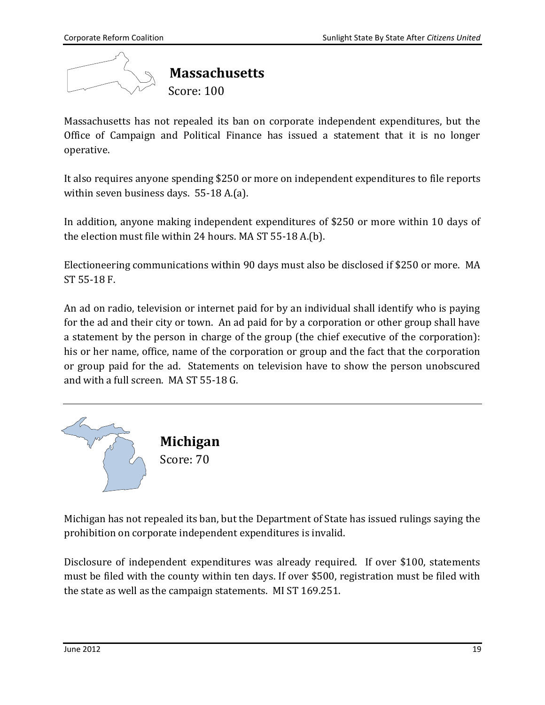<span id="page-21-0"></span>

Massachusetts has not repealed its ban on corporate independent expenditures, but the Office of Campaign and Political Finance has issued a statement that it is no longer operative.

It also requires anyone spending \$250 or more on independent expenditures to file reports within seven business days. 55-18 A.(a).

In addition, anyone making independent expenditures of \$250 or more within 10 days of the election must file within 24 hours. MA ST 55-18 A.(b).

Electioneering communications within 90 days must also be disclosed if \$250 or more. MA ST 55-18 F.

An ad on radio, television or internet paid for by an individual shall identify who is paying for the ad and their city or town. An ad paid for by a corporation or other group shall have a statement by the person in charge of the group (the chief executive of the corporation): his or her name, office, name of the corporation or group and the fact that the corporation or group paid for the ad. Statements on television have to show the person unobscured and with a full screen. MA ST 55-18 G.

<span id="page-21-1"></span>

Michigan has not repealed its ban, but the Department of State has issued rulings saying the prohibition on corporate independent expenditures is invalid.

Disclosure of independent expenditures was already required. If over \$100, statements must be filed with the county within ten days. If over \$500, registration must be filed with the state as well as the campaign statements. MI ST 169.251.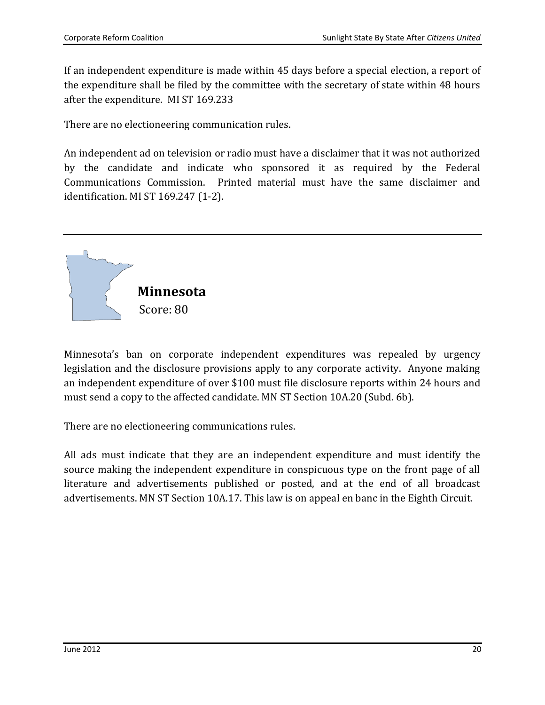If an independent expenditure is made within 45 days before a special election, a report of the expenditure shall be filed by the committee with the secretary of state within 48 hours after the expenditure. MI ST 169.233

There are no electioneering communication rules.

An independent ad on television or radio must have a disclaimer that it was not authorized by the candidate and indicate who sponsored it as required by the Federal Communications Commission. Printed material must have the same disclaimer and identification. MI ST 169.247 (1-2).

<span id="page-22-0"></span>

Minnesota's ban on corporate independent expenditures was repealed by urgency legislation and the disclosure provisions apply to any corporate activity. Anyone making an independent expenditure of over \$100 must file disclosure reports within 24 hours and must send a copy to the affected candidate. MN ST Section 10A.20 (Subd. 6b).

There are no electioneering communications rules.

All ads must indicate that they are an independent expenditure and must identify the source making the independent expenditure in conspicuous type on the front page of all literature and advertisements published or posted, and at the end of all broadcast advertisements. MN ST Section 10A.17. This law is on appeal en banc in the Eighth Circuit.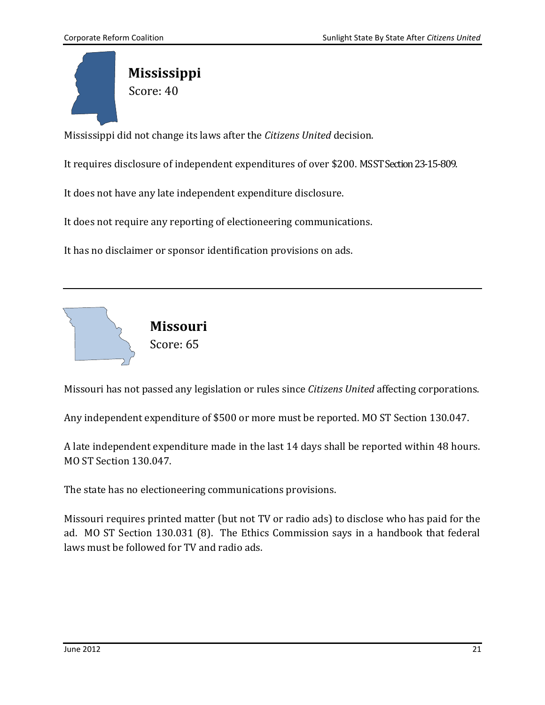<span id="page-23-1"></span>

Mississippi did not change its laws after the *Citizens United* decision.

It requires disclosure of independent expenditures of over \$200. MS ST Section 23-15-809.

It does not have any late independent expenditure disclosure.

It does not require any reporting of electioneering communications.

It has no disclaimer or sponsor identification provisions on ads.

<span id="page-23-0"></span>

Missouri has not passed any legislation or rules since *Citizens United* affecting corporations.

Any independent expenditure of \$500 or more must be reported. MO ST Section 130.047.

A late independent expenditure made in the last 14 days shall be reported within 48 hours. MO ST Section 130.047.

The state has no electioneering communications provisions.

Missouri requires printed matter (but not TV or radio ads) to disclose who has paid for the ad. MO ST Section 130.031 (8). The Ethics Commission says in a handbook that federal laws must be followed for TV and radio ads.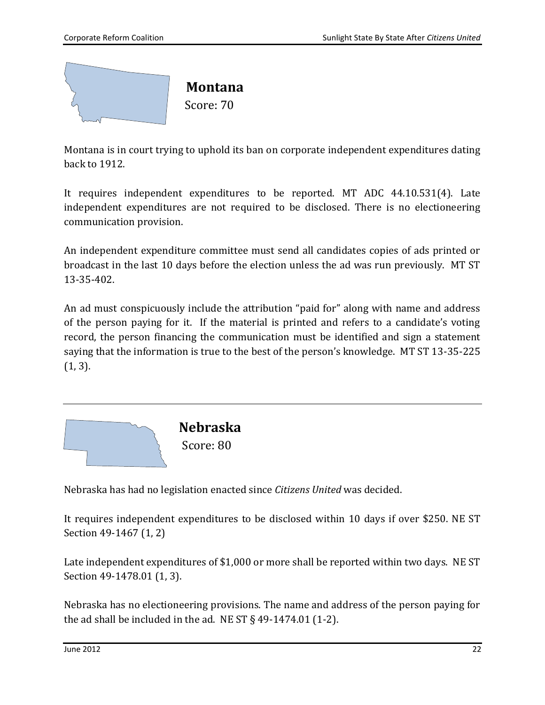<span id="page-24-0"></span>

Montana is in court trying to uphold its ban on corporate independent expenditures dating back to 1912.

It requires independent expenditures to be reported. MT ADC 44.10.531(4). Late independent expenditures are not required to be disclosed. There is no electioneering communication provision.

An independent expenditure committee must send all candidates copies of ads printed or broadcast in the last 10 days before the election unless the ad was run previously. MT ST 13-35-402.

An ad must conspicuously include the attribution "paid for" along with name and address of the person paying for it. If the material is printed and refers to a candidate's voting record, the person financing the communication must be identified and sign a statement saying that the information is true to the best of the person's knowledge. MT ST 13-35-225 (1, 3).

<span id="page-24-1"></span>

Nebraska has had no legislation enacted since *Citizens United* was decided.

It requires independent expenditures to be disclosed within 10 days if over \$250. NE ST Section 49-1467 (1, 2)

Late independent expenditures of \$1,000 or more shall be reported within two days. NE ST Section 49-1478.01 (1, 3).

Nebraska has no electioneering provisions. The name and address of the person paying for the ad shall be included in the ad. NE ST  $\S$  49-1474.01 (1-2).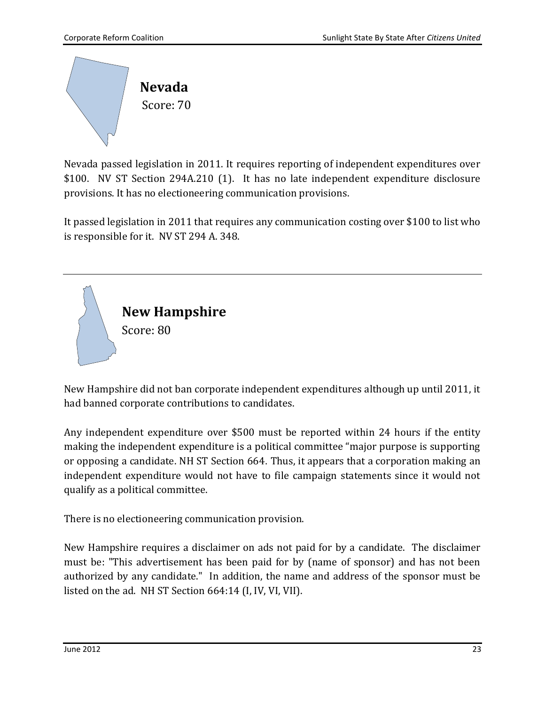<span id="page-25-0"></span>

Nevada passed legislation in 2011. It requires reporting of independent expenditures over \$100. NV ST Section 294A.210 (1). It has no late independent expenditure disclosure provisions. It has no electioneering communication provisions.

It passed legislation in 2011 that requires any communication costing over \$100 to list who is responsible for it. NV ST 294 A. 348.

<span id="page-25-1"></span>

New Hampshire did not ban corporate independent expenditures although up until 2011, it had banned corporate contributions to candidates.

Any independent expenditure over \$500 must be reported within 24 hours if the entity making the independent expenditure is a political committee "major purpose is supporting or opposing a candidate. NH ST Section 664. Thus, it appears that a corporation making an independent expenditure would not have to file campaign statements since it would not qualify as a political committee.

There is no electioneering communication provision.

New Hampshire requires a disclaimer on ads not paid for by a candidate. The disclaimer must be: "This advertisement has been paid for by (name of sponsor) and has not been authorized by any candidate." In addition, the name and address of the sponsor must be listed on the ad. NH ST Section 664:14 (I, IV, VI, VII).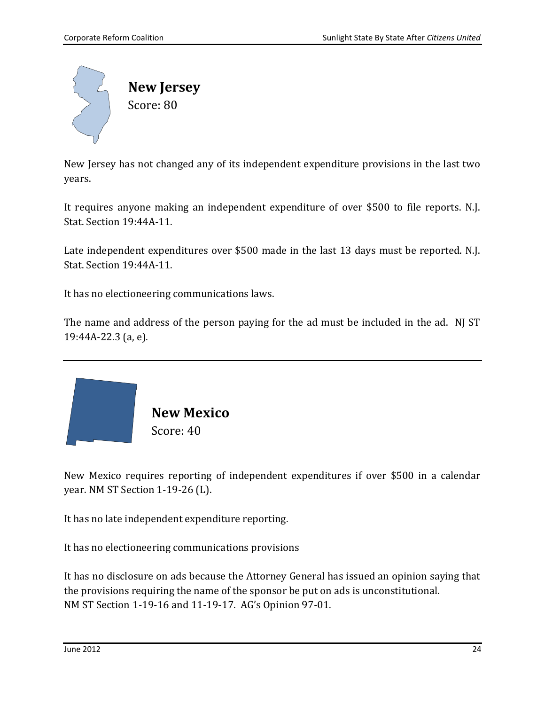<span id="page-26-1"></span>

New Jersey has not changed any of its independent expenditure provisions in the last two years.

It requires anyone making an independent expenditure of over \$500 to file reports. N.J. Stat. Section 19:44A-11.

Late independent expenditures over \$500 made in the last 13 days must be reported. N.J. Stat. Section 19:44A-11.

It has no electioneering communications laws.

The name and address of the person paying for the ad must be included in the ad. NJ ST 19:44A-22.3 (a, e).

<span id="page-26-0"></span>

 **New Mexico** Score: 40

New Mexico requires reporting of independent expenditures if over \$500 in a calendar year. NM ST Section 1-19-26 (L).

It has no late independent expenditure reporting.

It has no electioneering communications provisions

It has no disclosure on ads because the Attorney General has issued an opinion saying that the provisions requiring the name of the sponsor be put on ads is unconstitutional. NM ST Section 1-19-16 and 11-19-17. AG's Opinion 97-01.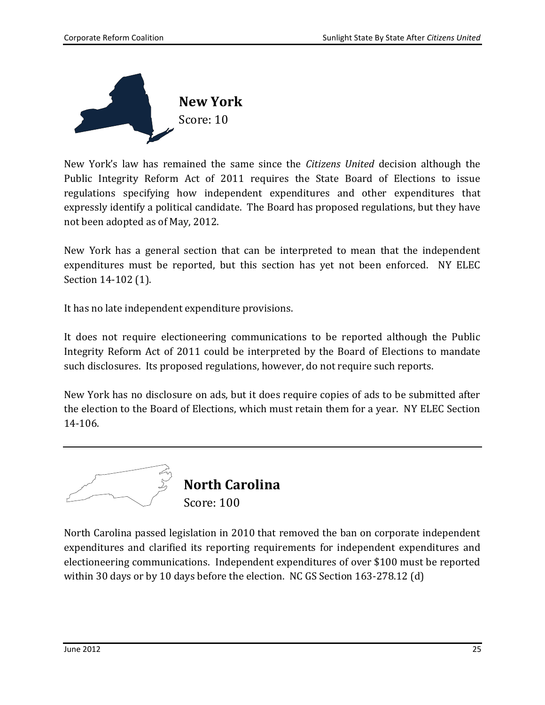<span id="page-27-1"></span>

New York's law has remained the same since the *Citizens United* decision although the Public Integrity Reform Act of 2011 requires the State Board of Elections to issue regulations specifying how independent expenditures and other expenditures that expressly identify a political candidate. The Board has proposed regulations, but they have not been adopted as of May, 2012.

New York has a general section that can be interpreted to mean that the independent expenditures must be reported, but this section has yet not been enforced. NY ELEC Section 14-102 (1).

It has no late independent expenditure provisions.

It does not require electioneering communications to be reported although the Public Integrity Reform Act of 2011 could be interpreted by the Board of Elections to mandate such disclosures. Its proposed regulations, however, do not require such reports.

New York has no disclosure on ads, but it does require copies of ads to be submitted after the election to the Board of Elections, which must retain them for a year. NY ELEC Section 14-106.



<span id="page-27-0"></span>North Carolina passed legislation in 2010 that removed the ban on corporate independent expenditures and clarified its reporting requirements for independent expenditures and electioneering communications. Independent expenditures of over \$100 must be reported within 30 days or by 10 days before the election. NC GS Section 163-278.12 (d)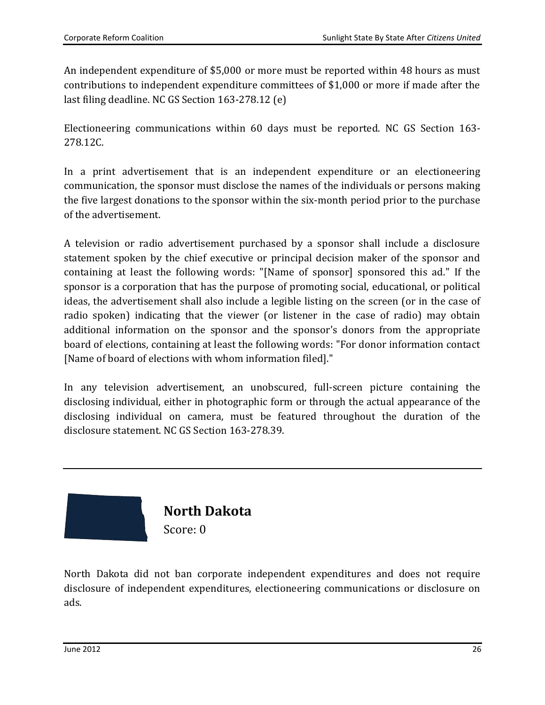An independent expenditure of \$5,000 or more must be reported within 48 hours as must contributions to independent expenditure committees of \$1,000 or more if made after the last filing deadline. NC GS Section 163-278.12 (e)

Electioneering communications within 60 days must be reported. NC GS Section 163- 278.12C.

In a print advertisement that is an independent expenditure or an electioneering communication, the sponsor must disclose the names of the individuals or persons making the five largest donations to the sponsor within the six-month period prior to the purchase of the advertisement.

A television or radio advertisement purchased by a sponsor shall include a disclosure statement spoken by the chief executive or principal decision maker of the sponsor and containing at least the following words: "[Name of sponsor] sponsored this ad." If the sponsor is a corporation that has the purpose of promoting social, educational, or political ideas, the advertisement shall also include a legible listing on the screen (or in the case of radio spoken) indicating that the viewer (or listener in the case of radio) may obtain additional information on the sponsor and the sponsor's donors from the appropriate board of elections, containing at least the following words: "For donor information contact [Name of board of elections with whom information filed]."

In any television advertisement, an unobscured, full-screen picture containing the disclosing individual, either in photographic form or through the actual appearance of the disclosing individual on camera, must be featured throughout the duration of the disclosure statement. NC GS Section 163-278.39.

<span id="page-28-0"></span>

North Dakota did not ban corporate independent expenditures and does not require disclosure of independent expenditures, electioneering communications or disclosure on ads.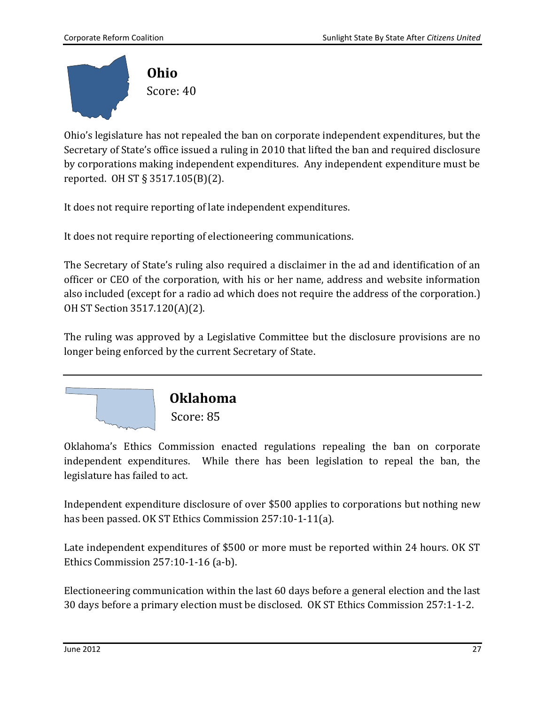<span id="page-29-0"></span>

Ohio's legislature has not repealed the ban on corporate independent expenditures, but the Secretary of State's office issued a ruling in 2010 that lifted the ban and required disclosure by corporations making independent expenditures. Any independent expenditure must be reported. OH ST § 3517.105(B)(2).

It does not require reporting of late independent expenditures.

It does not require reporting of electioneering communications.

The Secretary of State's ruling also required a disclaimer in the ad and identification of an officer or CEO of the corporation, with his or her name, address and website information also included (except for a radio ad which does not require the address of the corporation.) OH ST Section 3517.120(A)(2).

The ruling was approved by a Legislative Committee but the disclosure provisions are no longer being enforced by the current Secretary of State.

<span id="page-29-1"></span>

Oklahoma's Ethics Commission enacted regulations repealing the ban on corporate independent expenditures. While there has been legislation to repeal the ban, the legislature has failed to act.

Independent expenditure disclosure of over \$500 applies to corporations but nothing new has been passed. OK ST Ethics Commission 257:10-1-11(a).

Late independent expenditures of \$500 or more must be reported within 24 hours. OK ST Ethics Commission 257:10-1-16 (a-b).

Electioneering communication within the last 60 days before a general election and the last 30 days before a primary election must be disclosed. OK ST Ethics Commission 257:1-1-2.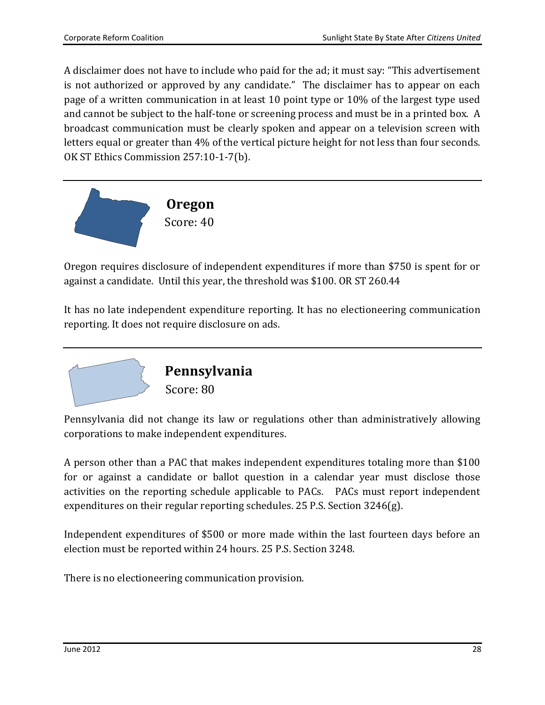A disclaimer does not have to include who paid for the ad; it must say: "This advertisement is not authorized or approved by any candidate." The disclaimer has to appear on each page of a written communication in at least 10 point type or 10% of the largest type used and cannot be subject to the half-tone or screening process and must be in a printed box. A broadcast communication must be clearly spoken and appear on a television screen with letters equal or greater than 4% of the vertical picture height for not less than four seconds. OK ST Ethics Commission 257:10-1-7(b).

<span id="page-30-1"></span>

Oregon requires disclosure of independent expenditures if more than \$750 is spent for or against a candidate. Until this year, the threshold was \$100. OR ST 260.44

It has no late independent expenditure reporting. It has no electioneering communication reporting. It does not require disclosure on ads.

<span id="page-30-0"></span>

Pennsylvania did not change its law or regulations other than administratively allowing corporations to make independent expenditures.

A person other than a PAC that makes independent expenditures totaling more than \$100 for or against a candidate or ballot question in a calendar year must disclose those activities on the reporting schedule applicable to PACs. PACs must report independent expenditures on their regular reporting schedules. 25 P.S. Section 3246(g).

Independent expenditures of \$500 or more made within the last fourteen days before an election must be reported within 24 hours. 25 P.S. Section 3248.

There is no electioneering communication provision.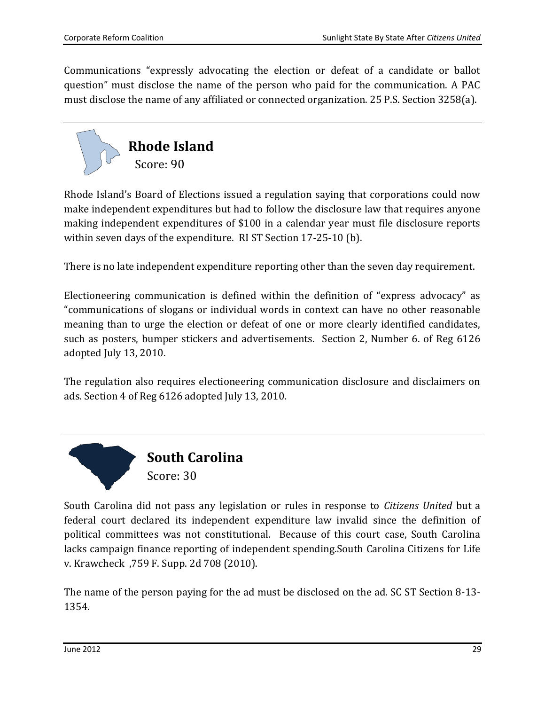Communications "expressly advocating the election or defeat of a candidate or ballot question" must disclose the name of the person who paid for the communication. A PAC must disclose the name of any affiliated or connected organization. 25 P.S. Section 3258(a).

<span id="page-31-0"></span>

Rhode Island's Board of Elections issued a regulation saying that corporations could now make independent expenditures but had to follow the disclosure law that requires anyone making independent expenditures of \$100 in a calendar year must file disclosure reports within seven days of the expenditure. RI ST Section 17-25-10 (b).

There is no late independent expenditure reporting other than the seven day requirement.

Electioneering communication is defined within the definition of "express advocacy" as "communications of slogans or individual words in context can have no other reasonable meaning than to urge the election or defeat of one or more clearly identified candidates, such as posters, bumper stickers and advertisements. Section 2, Number 6. of Reg 6126 adopted July 13, 2010.

The regulation also requires electioneering communication disclosure and disclaimers on ads. Section 4 of Reg 6126 adopted July 13, 2010.

<span id="page-31-1"></span>

South Carolina did not pass any legislation or rules in response to *Citizens United* but a federal court declared its independent expenditure law invalid since the definition of political committees was not constitutional. Because of this court case, South Carolina lacks campaign finance reporting of independent spending.South Carolina Citizens for Life v. Krawcheck ,759 F. Supp. 2d 708 (2010).

The name of the person paying for the ad must be disclosed on the ad. SC ST Section 8-13- 1354.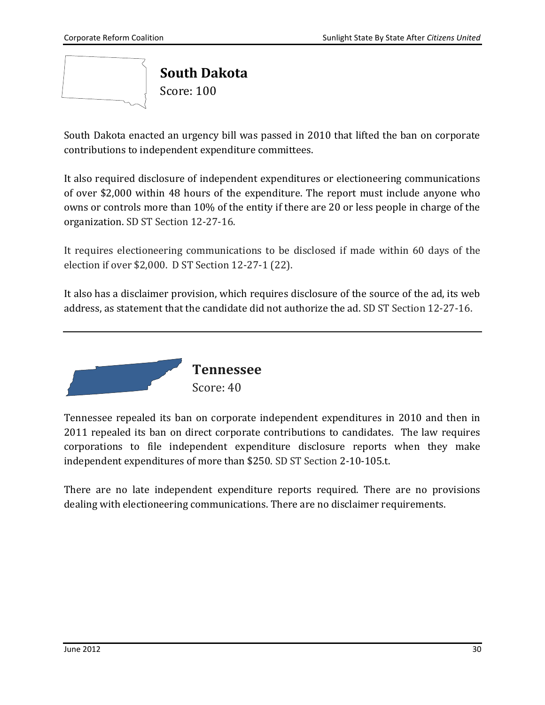<span id="page-32-0"></span>

South Dakota enacted an urgency bill was passed in 2010 that lifted the ban on corporate contributions to independent expenditure committees.

It also required disclosure of independent expenditures or electioneering communications of over \$2,000 within 48 hours of the expenditure. The report must include anyone who owns or controls more than 10% of the entity if there are 20 or less people in charge of the organization. SD ST Section 12-27-16.

It requires electioneering communications to be disclosed if made within 60 days of the election if over \$2,000. D ST Section 12-27-1 (22).

It also has a disclaimer provision, which requires disclosure of the source of the ad, its web address, as statement that the candidate did not authorize the ad. SD ST Section 12-27-16.



<span id="page-32-1"></span>Tennessee repealed its ban on corporate independent expenditures in 2010 and then in 2011 repealed its ban on direct corporate contributions to candidates. The law requires corporations to file independent expenditure disclosure reports when they make independent expenditures of more than \$250. SD ST Section 2-10-105.t.

There are no late independent expenditure reports required. There are no provisions dealing with electioneering communications. There are no disclaimer requirements.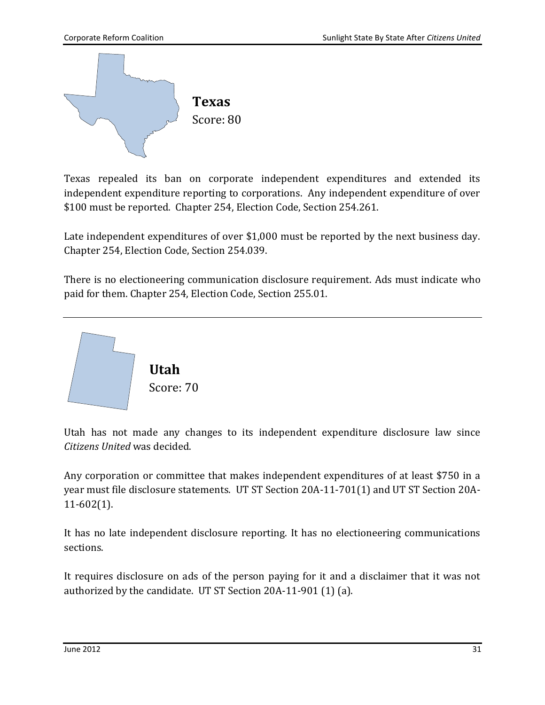<span id="page-33-0"></span>

Texas repealed its ban on corporate independent expenditures and extended its independent expenditure reporting to corporations. Any independent expenditure of over \$100 must be reported. Chapter 254, Election Code, Section 254.261.

Late independent expenditures of over \$1,000 must be reported by the next business day. Chapter 254, Election Code, Section 254.039.

There is no electioneering communication disclosure requirement. Ads must indicate who paid for them. Chapter 254, Election Code, Section 255.01.

<span id="page-33-1"></span>

Utah has not made any changes to its independent expenditure disclosure law since *Citizens United* was decided.

Any corporation or committee that makes independent expenditures of at least \$750 in a year must file disclosure statements. UT ST Section 20A-11-701(1) and UT ST Section 20A-11-602(1).

It has no late independent disclosure reporting. It has no electioneering communications sections.

It requires disclosure on ads of the person paying for it and a disclaimer that it was not authorized by the candidate. UT ST Section 20A-11-901 (1) (a).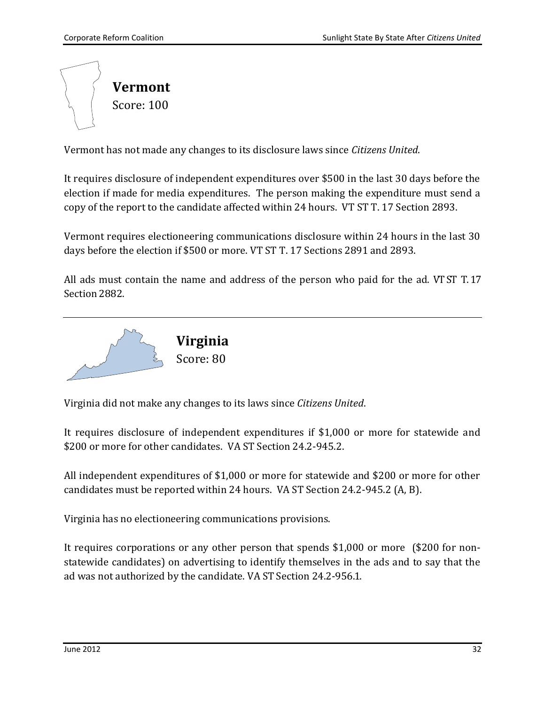<span id="page-34-1"></span>

Vermont has not made any changes to its disclosure laws since *Citizens United*.

It requires disclosure of independent expenditures over \$500 in the last 30 days before the election if made for media expenditures. The person making the expenditure must send a copy of the report to the candidate affected within 24 hours. VT ST T. 17 Section 2893.

Vermont requires electioneering communications disclosure within 24 hours in the last 30 days before the election if \$500 or more. VT ST T. 17 Sections 2891 and 2893.

All ads must contain the name and address of the person who paid for the ad. VT ST T. 17 Section 2882.

<span id="page-34-0"></span>

Virginia did not make any changes to its laws since *Citizens United*.

It requires disclosure of independent expenditures if \$1,000 or more for statewide and \$200 or more for other candidates. VA ST Section 24.2-945.2.

All independent expenditures of \$1,000 or more for statewide and \$200 or more for other candidates must be reported within 24 hours. VA ST Section 24.2-945.2 (A, B).

Virginia has no electioneering communications provisions.

It requires corporations or any other person that spends \$1,000 or more (\$200 for nonstatewide candidates) on advertising to identify themselves in the ads and to say that the ad was not authorized by the candidate. VA ST Section 24.2-956.1.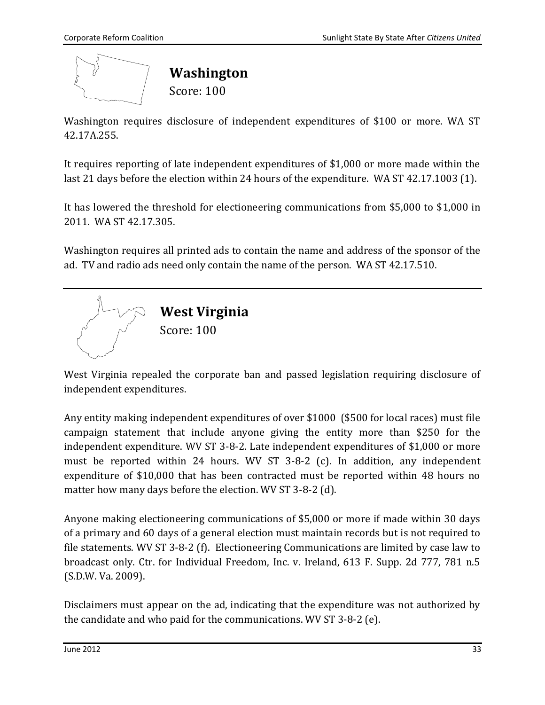<span id="page-35-0"></span>

Washington requires disclosure of independent expenditures of \$100 or more. WA ST 42.17A.255.

It requires reporting of late independent expenditures of \$1,000 or more made within the last 21 days before the election within 24 hours of the expenditure. WA ST 42.17.1003 (1).

It has lowered the threshold for electioneering communications from \$5,000 to \$1,000 in 2011. WA ST 42.17.305.

Washington requires all printed ads to contain the name and address of the sponsor of the ad. TV and radio ads need only contain the name of the person. WA ST 42.17.510.

<span id="page-35-1"></span>

West Virginia repealed the corporate ban and passed legislation requiring disclosure of independent expenditures.

Any entity making independent expenditures of over \$1000 (\$500 for local races) must file campaign statement that include anyone giving the entity more than \$250 for the independent expenditure. WV ST 3-8-2. Late independent expenditures of \$1,000 or more must be reported within 24 hours. WV ST 3-8-2 (c). In addition, any independent expenditure of \$10,000 that has been contracted must be reported within 48 hours no matter how many days before the election. WV ST 3-8-2 (d).

Anyone making electioneering communications of \$5,000 or more if made within 30 days of a primary and 60 days of a general election must maintain records but is not required to file statements. WV ST 3-8-2 (f). Electioneering Communications are limited by case law to broadcast only. Ctr. for Individual Freedom, Inc. v. Ireland, 613 F. Supp. 2d 777, 781 n.5 (S.D.W. Va. 2009).

<span id="page-35-2"></span>Disclaimers must appear on the ad, indicating that the expenditure was not authorized by the candidate and who paid for the communications. WV ST 3-8-2 (e).